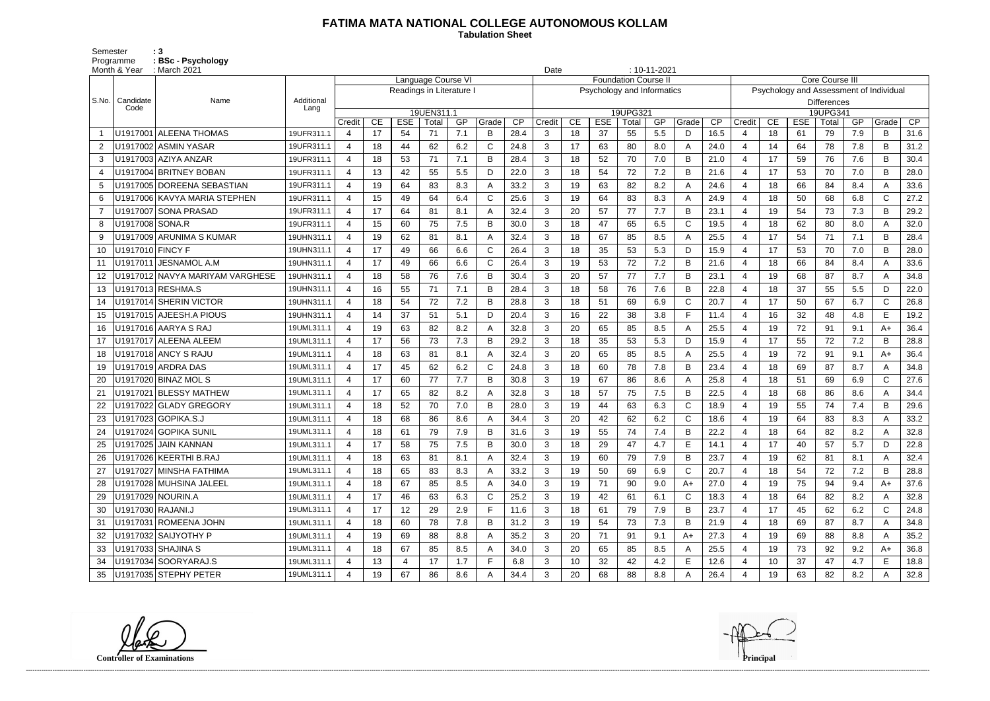## **FATIMA MATA NATIONAL COLLEGE AUTONOMOUS KOLLAM**

Semester : 3 Programme **: BSc - Psychology**  **Tabulation Sheet** 

| $: 10 - 11 - 2021$<br>Month & Year<br>: March 2021<br>Date |                   |                                 |                    |                       |    |                          |                     |     |              |      |                |    |                            |                             |     |              |      |                                |    |            |                                         |     |              |      |
|------------------------------------------------------------|-------------------|---------------------------------|--------------------|-----------------------|----|--------------------------|---------------------|-----|--------------|------|----------------|----|----------------------------|-----------------------------|-----|--------------|------|--------------------------------|----|------------|-----------------------------------------|-----|--------------|------|
|                                                            |                   |                                 |                    |                       |    |                          | Language Course VI  |     |              |      |                |    |                            | <b>Foundation Course II</b> |     |              |      |                                |    |            | <b>Core Course III</b>                  |     |              |      |
|                                                            |                   |                                 |                    |                       |    | Readings in Literature I |                     |     |              |      |                |    | Psychology and Informatics |                             |     |              |      |                                |    |            | Psychology and Assessment of Individual |     |              |      |
| S.No.                                                      | Candidate<br>Code | Name                            | Additional<br>Lang |                       |    |                          |                     |     |              |      |                |    |                            |                             |     |              |      | <b>Differences</b><br>19UPG341 |    |            |                                         |     |              |      |
|                                                            |                   |                                 |                    | Credit                | CE | <b>ESE</b>               | 19UEN311.1<br>Total | GP  | Grade        | CP   | Credit         | CE | <b>ESE</b>                 | 19UPG321<br>Total           | GP  | Grade        | CP   | Credit                         | CE | <b>ESE</b> | Total                                   | GP  | Grade        | CP   |
|                                                            |                   | U1917001 ALEENA THOMAS          | 19UFR311.1         | 4                     | 17 | 54                       | 71                  | 7.1 | B            | 28.4 | 3              | 18 | 37                         | 55                          | 5.5 | D            | 16.5 | -4                             | 18 | 61         | 79                                      | 7.9 | B            | 31.6 |
| $\overline{2}$                                             |                   | U1917002 ASMIN YASAR            | 19UFR311.1         | $\overline{4}$        | 18 | 44                       | 62                  | 6.2 | $\mathsf{C}$ | 24.8 | 3              | 17 | 63                         | 80                          | 8.0 | $\mathsf{A}$ | 24.0 | $\overline{4}$                 | 14 | 64         | 78                                      | 7.8 | B            | 31.2 |
| 3                                                          |                   | U1917003 AZIYA ANZAR            | 19UFR311.1         | $\overline{4}$        | 18 | 53                       | 71                  | 7.1 | B            | 28.4 | 3              | 18 | 52                         | 70                          | 7.0 | B            | 21.0 | $\overline{4}$                 | 17 | 59         | 76                                      | 7.6 | B            | 30.4 |
| 4                                                          |                   | U1917004 BRITNEY BOBAN          | 19UFR311.1         | 4                     | 13 | 42                       | 55                  | 5.5 | D            | 22.0 | 3              | 18 | 54                         | 72                          | 7.2 | B            | 21.6 | $\overline{4}$                 | 17 | 53         | 70                                      | 7.0 | B            | 28.0 |
| 5                                                          |                   | U1917005 DOREENA SEBASTIAN      | 19UFR311.1         | $\overline{4}$        | 19 | 64                       | 83                  | 8.3 | A            | 33.2 | 3              | 19 | 63                         | 82                          | 8.2 | A            | 24.6 | $\overline{4}$                 | 18 | 66         | 84                                      | 8.4 | A            | 33.6 |
| 6                                                          |                   | U1917006 KAVYA MARIA STEPHEN    | 19UFR311.1         | 4                     | 15 | 49                       | 64                  | 6.4 | C            | 25.6 | 3              | 19 | 64                         | 83                          | 8.3 | $\mathsf{A}$ | 24.9 | $\overline{4}$                 | 18 | 50         | 68                                      | 6.8 | C            | 27.2 |
| $\overline{7}$                                             |                   | U1917007 SONA PRASAD            | 19UFR311.1         | 4                     | 17 | 64                       | 81                  | 8.1 |              | 32.4 | 3              | 20 | 57                         | 77                          | 7.7 | B            | 23.1 | $\overline{4}$                 | 19 | 54         | 73                                      | 7.3 | B            | 29.2 |
| 8                                                          | U1917008 SONA.R   |                                 | 19UFR311.1         | $\overline{4}$        | 15 | 60                       | 75                  | 7.5 | В            | 30.0 | 3              | 18 | 47                         | 65                          | 6.5 | $\mathbf C$  | 19.5 | $\overline{4}$                 | 18 | 62         | 80                                      | 8.0 | A            | 32.0 |
| -9                                                         |                   | U1917009 ARUNIMA S KUMAR        | 19UHN311.1         | $\overline{4}$        | 19 | 62                       | 81                  | 8.1 |              | 32.4 | 3              | 18 | 67                         | 85                          | 8.5 | A            | 25.5 | $\overline{4}$                 | 17 | 54         | 71                                      | 7.1 | B            | 28.4 |
| 10                                                         | U1917010 FINCY F  |                                 | 19UHN311.1         | $\overline{4}$        | 17 | 49                       | 66                  | 6.6 | $\mathsf{C}$ | 26.4 | 3              | 18 | 35                         | 53                          | 5.3 | D            | 15.9 | $\overline{4}$                 | 17 | 53         | 70                                      | 7.0 | B            | 28.0 |
| 11                                                         |                   | U1917011 JESNAMOL A.M           | 19UHN311.1         | 4                     | 17 | 49                       | 66                  | 6.6 | C            | 26.4 | 3              | 19 | 53                         | 72                          | 7.2 | B            | 21.6 | $\overline{4}$                 | 18 | 66         | 84                                      | 8.4 | A            | 33.6 |
| 12                                                         |                   | U1917012 NAVYA MARIYAM VARGHESE | 19UHN311.1         | $\overline{4}$        | 18 | 58                       | 76                  | 7.6 | в            | 30.4 | 3              | 20 | 57                         | 77                          | 7.7 | B            | 23.1 | $\overline{\mathcal{A}}$       | 19 | 68         | 87                                      | 8.7 | A            | 34.8 |
| 13                                                         |                   | U1917013 RESHMA.S               | 19UHN311.1         | $\overline{4}$        | 16 | 55                       | 71                  | 7.1 | B            | 28.4 | 3              | 18 | 58                         | 76                          | 7.6 | B            | 22.8 | $\overline{4}$                 | 18 | 37         | 55                                      | 5.5 | D            | 22.0 |
| 14                                                         |                   | U1917014 SHERIN VICTOR          | 19UHN311.1         | 4                     | 18 | 54                       | 72                  | 7.2 | B            | 28.8 | 3              | 18 | 51                         | 69                          | 6.9 | $\mathsf{C}$ | 20.7 | $\overline{4}$                 | 17 | 50         | 67                                      | 6.7 | $\mathsf{C}$ | 26.8 |
| 15                                                         |                   | U1917015 AJEESH.A PIOUS         | 19UHN311.1         | $\overline{4}$        | 14 | 37                       | 51                  | 5.1 | D            | 20.4 | 3              | 16 | 22                         | 38                          | 3.8 | E            | 11.4 | $\overline{4}$                 | 16 | 32         | 48                                      | 4.8 | E            | 19.2 |
| 16                                                         |                   | U1917016 AARYA S RAJ            | 19UML311.1         | 4                     | 19 | 63                       | 82                  | 8.2 |              | 32.8 | 3              | 20 | 65                         | 85                          | 8.5 | $\mathsf{A}$ | 25.5 | $\overline{4}$                 | 19 | 72         | 91                                      | 9.1 | A+           | 36.4 |
| 17                                                         |                   | U1917017 ALEENA ALEEM           | 19UML311.1         | 4                     | 17 | 56                       | 73                  | 7.3 | В            | 29.2 | 3              | 18 | 35                         | 53                          | 5.3 | D            | 15.9 | $\overline{4}$                 | 17 | 55         | 72                                      | 7.2 | B            | 28.8 |
| 18                                                         |                   | U1917018 ANCY S RAJU            | 19UML311.1         | $\overline{4}$        | 18 | 63                       | 81                  | 8.1 | А            | 32.4 | 3              | 20 | 65                         | 85                          | 8.5 | $\mathsf{A}$ | 25.5 | $\overline{4}$                 | 19 | 72         | 91                                      | 9.1 | A+           | 36.4 |
| 19                                                         |                   | U1917019 ARDRA DAS              | 19UML311.1         | $\overline{4}$        | 17 | 45                       | 62                  | 6.2 | $\mathsf{C}$ | 24.8 | 3              | 18 | 60                         | 78                          | 7.8 | B            | 23.4 | $\overline{4}$                 | 18 | 69         | 87                                      | 8.7 | A            | 34.8 |
| 20                                                         |                   | U1917020 BINAZ MOL S            | 19UML311.1         | $\overline{4}$        | 17 | 60                       | 77                  | 7.7 | В            | 30.8 | 3              | 19 | 67                         | 86                          | 8.6 | $\mathsf{A}$ | 25.8 | -4                             | 18 | 51         | 69                                      | 6.9 | $\mathsf{C}$ | 27.6 |
| 21                                                         |                   | U1917021 BLESSY MATHEW          | 19UML311.1         | 4                     | 17 | 65                       | 82                  | 8.2 |              | 32.8 | 3              | 18 | 57                         | 75                          | 7.5 | B            | 22.5 | $\overline{4}$                 | 18 | 68         | 86                                      | 8.6 | A            | 34.4 |
|                                                            |                   | U1917022 GLADY GREGORY          | 19UML311.1         | 4                     | 18 | 52                       | 70                  | 7.0 | В            | 28.0 | 3              | 19 | 44                         | 63                          | 6.3 | $\mathsf{C}$ | 18.9 | -4                             | 19 | 55         | 74                                      | 7.4 | B            | 29.6 |
| 23                                                         |                   | U1917023 GOPIKA.S.J             | 19UML311.1         | 4                     | 18 | 68                       | 86                  | 8.6 |              | 34.4 | 3              | 20 | 42                         | 62                          | 6.2 | $\mathsf{C}$ | 18.6 | $\overline{4}$                 | 19 | 64         | 83                                      | 8.3 | A            | 33.2 |
| 24                                                         |                   | U1917024 GOPIKA SUNIL           | 19UML311.1         | $\boldsymbol{\Delta}$ | 18 | 61                       | 79                  | 7.9 |              | 31.6 | 3              | 19 | 55                         | 74                          | 7.4 | B            | 22.2 | $\overline{4}$                 | 18 | 64         | 82                                      | 8.2 | А            | 32.8 |
| 25                                                         |                   | U1917025 JAIN KANNAN            | 19UML311.1         | 4                     | 17 | 58                       | 75                  | 7.5 | в            | 30.0 | 3              | 18 | 29                         | 47                          | 4.7 | E            | 14.1 | 4                              | 17 | 40         | 57                                      | 5.7 | D            | 22.8 |
|                                                            |                   | U1917026 KEERTHI B.RAJ          | 19UML311.1         | 4                     | 18 | 63                       | 81                  | 8.1 |              | 32.4 | 3              | 19 | 60                         | 79                          | 7.9 | B            | 23.7 | -4                             | 19 | 62         | 81                                      | 8.1 | A            | 32.4 |
| 27                                                         |                   | U1917027 MINSHA FATHIMA         | 19UML311.1         | $\overline{4}$        | 18 | 65                       | 83                  | 8.3 | A            | 33.2 | 3              | 19 | 50                         | 69                          | 6.9 | $\mathsf{C}$ | 20.7 | $\overline{4}$                 | 18 | 54         | 72                                      | 7.2 | B            | 28.8 |
| 28                                                         |                   | U1917028 MUHSINA JALEEL         | 19UML311.1         | 4                     | 18 | 67                       | 85                  | 8.5 | A            | 34.0 | 3 <sup>1</sup> | 19 | 71                         | 90                          | 9.0 | $A+$         | 27.0 | $\overline{4}$                 | 19 | 75         | 94                                      | 9.4 | $A+$         | 37.6 |
| 29                                                         |                   | U1917029 NOURIN.A               | 19UML311.1         | 4                     | 17 | 46                       | 63                  | 6.3 | C            | 25.2 | 3              | 19 | 42                         | 61                          | 6.1 | $\mathsf{C}$ | 18.3 | $\overline{4}$                 | 18 | 64         | 82                                      | 8.2 |              | 32.8 |
| 30                                                         | U1917030 RAJANI.J |                                 | 19UML311.1         | $\overline{4}$        | 17 | 12                       | 29                  | 2.9 | F.           | 11.6 | 3              | 18 | 61                         | 79                          | 7.9 | B            | 23.7 | 4                              | 17 | 45         | 62                                      | 6.2 | C            | 24.8 |
| 31                                                         |                   | U1917031 ROMEENA JOHN           | 19UML311.1         | 4                     | 18 | 60                       | 78                  | 7.8 | B            | 31.2 | 3              | 19 | 54                         | 73                          | 7.3 | B            | 21.9 | -4                             | 18 | 69         | 87                                      | 8.7 | A            | 34.8 |
| 32                                                         |                   | U1917032 SAIJYOTHY P            | 19UML311.1         | 4                     | 19 | 69                       | 88                  | 8.8 | A            | 35.2 | 3              | 20 | 71                         | 91                          | 9.1 | A+           | 27.3 | -4                             | 19 | 69         | 88                                      | 8.8 | A            | 35.2 |
| 33                                                         |                   | U1917033 SHAJINA S              | 19UML311.1         | 4                     | 18 | 67                       | 85                  | 8.5 | A            | 34.0 | 3              | 20 | 65                         | 85                          | 8.5 | A            | 25.5 | 4                              | 19 | 73         | 92                                      | 9.2 | $A+$         | 36.8 |
| 34                                                         |                   | U1917034 SOORYARAJ.S            | 19UML311.1         | $\overline{4}$        | 13 | 4                        | 17                  | 1.7 | F.           | 6.8  | 3              | 10 | 32                         | 42                          | 4.2 | E            | 12.6 | $\overline{a}$                 | 10 | 37         | 47                                      | 4.7 | E            | 18.8 |
| 35                                                         |                   | U1917035 STEPHY PETER           | 19UML311.1         | 4                     | 19 | 67                       | 86                  | 8.6 |              | 34.4 | 3              | 20 | 68                         | 88                          | 8.8 | A            | 26.4 | 4                              | 19 | 63         | 82                                      | 8.2 | A            | 32.8 |

**Controller of Examinations Principal**

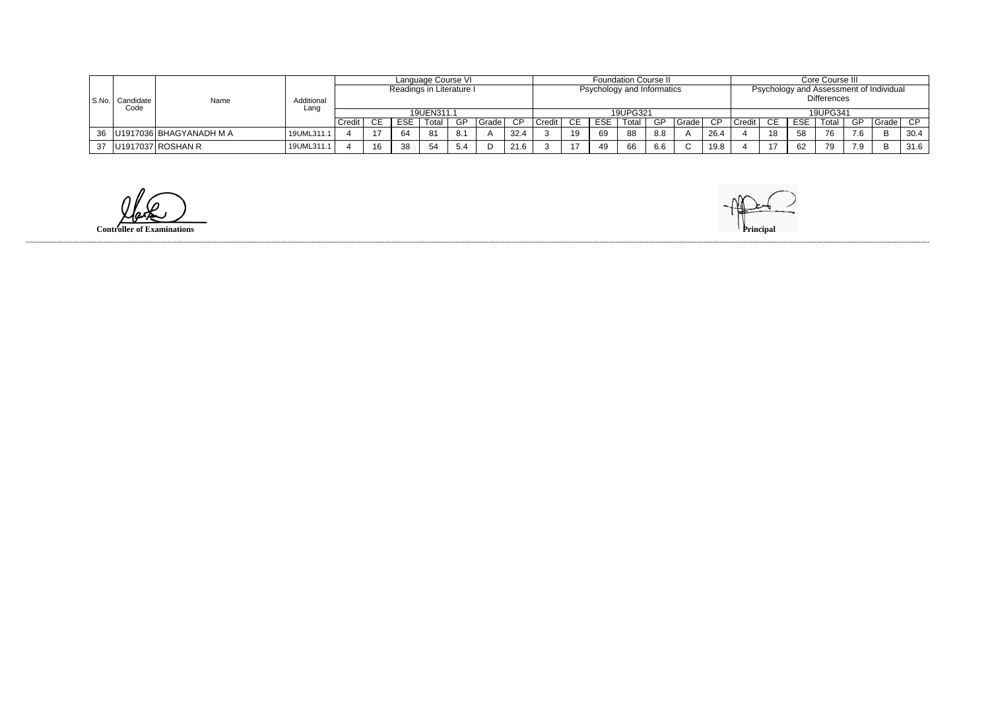|           |                   | Name                           | Additional<br>Lanc | Language Course VI<br>Readings in Literature I |    |     |            |          |         |      |          |                            |      | <b>Foundation Course II</b> |     |       |      |        | Core Course III                                               |            |       |                                   |         |      |  |
|-----------|-------------------|--------------------------------|--------------------|------------------------------------------------|----|-----|------------|----------|---------|------|----------|----------------------------|------|-----------------------------|-----|-------|------|--------|---------------------------------------------------------------|------------|-------|-----------------------------------|---------|------|--|
| l S.No. I | Candidate<br>Code |                                |                    |                                                |    |     |            |          |         |      |          | Psychology and Informatics |      |                             |     |       |      |        | Psychology and Assessment of Individual<br><b>Differences</b> |            |       |                                   |         |      |  |
|           |                   |                                |                    |                                                |    |     | 19UEN311.1 |          |         |      | 19UPG321 |                            |      |                             |     |       |      |        | 19UPG341                                                      |            |       |                                   |         |      |  |
|           |                   |                                |                    | Credit                                         |    | ESE | Total      | GP       | Grade I | CP.  | Credit   | CE.                        | ESE. | Total                       | -GP | Grade | -C D | Credit | CE.                                                           | <b>ESE</b> | Total | GP.                               | Grade ' | CP.  |  |
|           |                   | 36   U1917036   BHAGYANADH M A | 19UML311.1         |                                                |    | 64  | -81        |          |         | 32.4 |          | 19                         | -69  | 88                          |     |       | 26.4 |        | 18                                                            | 58         | 76    | $\overline{\phantom{a}}$<br>. . 0 |         | 30.4 |  |
|           |                   | 37   U1917037   ROSHAN R       | 19UML311.1         |                                                | 16 | 38  | 54         | гΛ<br>.ٽ |         | 216  |          | 17                         |      | 66                          |     |       | 19.8 |        |                                                               | 62         | 79    | 7 <sub>0</sub><br>।. ৩            |         | 31.6 |  |

 $\omega$ 

**Controller of Examinations** 

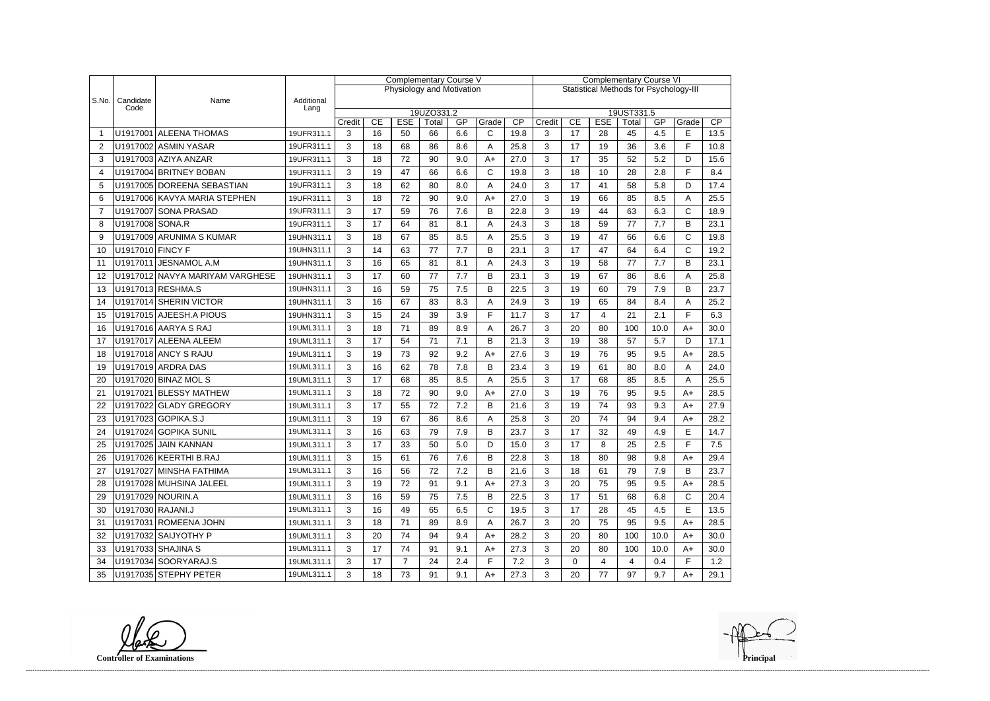|                |                   |                                 |                    | <b>Complementary Course V</b> |                                                                                                                   |                           |    |     |              |      | <b>Complementary Course VI</b>                |             |                |     |           |              |      |  |
|----------------|-------------------|---------------------------------|--------------------|-------------------------------|-------------------------------------------------------------------------------------------------------------------|---------------------------|----|-----|--------------|------|-----------------------------------------------|-------------|----------------|-----|-----------|--------------|------|--|
|                |                   |                                 |                    |                               |                                                                                                                   | Physiology and Motivation |    |     |              |      | <b>Statistical Methods for Psychology-III</b> |             |                |     |           |              |      |  |
| S.No.          | Candidate<br>Code | Name                            | Additional<br>Lang |                               |                                                                                                                   |                           |    |     |              |      |                                               |             |                |     |           |              |      |  |
|                |                   |                                 |                    |                               | 19UZO331.2<br>19UST331.5<br>CP<br>CE<br><b>ESE</b><br>GP<br>Grade<br>CE<br><b>ESE</b><br>Total<br>Credit<br>Total |                           |    |     |              |      |                                               |             |                |     |           |              | CP   |  |
|                |                   | U1917001 ALEENA THOMAS          | 19UFR311.1         | Credit<br>3                   | 16                                                                                                                | 50                        | 66 | 6.6 | $\mathsf{C}$ | 19.8 | 3                                             | 17          | 28             | 45  | GP<br>4.5 | Grade<br>E   | 13.5 |  |
| $\overline{2}$ |                   | U1917002 ASMIN YASAR            | 19UFR311.1         | 3                             | 18                                                                                                                | 68                        | 86 | 8.6 | A            | 25.8 | 3                                             | 17          | 19             | 36  | 3.6       | F            | 10.8 |  |
| 3              |                   | U1917003 AZIYA ANZAR            | 19UFR311.1         | 3                             | 18                                                                                                                | 72                        | 90 | 9.0 | $A+$         | 27.0 | 3                                             | 17          | 35             | 52  | 5.2       | D            | 15.6 |  |
| 4              |                   | U1917004 BRITNEY BOBAN          | 19UFR311.1         | 3                             | 19                                                                                                                | 47                        | 66 | 6.6 | $\mathsf{C}$ | 19.8 | 3                                             | 18          | 10             | 28  | 2.8       | F            | 8.4  |  |
| 5              |                   | U1917005 DOREENA SEBASTIAN      | 19UFR311.1         | 3                             | 18                                                                                                                | 62                        | 80 | 8.0 | Α            | 24.0 | 3                                             | 17          | 41             | 58  | 5.8       | D            | 17.4 |  |
| 6              |                   | U1917006 KAVYA MARIA STEPHEN    | 19UFR311.1         | 3                             | 18                                                                                                                | 72                        | 90 | 9.0 | $A+$         | 27.0 | 3                                             | 19          | 66             | 85  | 8.5       | A            | 25.5 |  |
| $\overline{7}$ |                   | U1917007 SONA PRASAD            | 19UFR311.1         | 3                             | 17                                                                                                                | 59                        | 76 | 7.6 | B            | 22.8 | 3                                             | 19          | 44             | 63  | 6.3       | $\mathsf{C}$ | 18.9 |  |
| 8              | U1917008 SONA.R   |                                 | 19UFR311.1         | 3                             | 17                                                                                                                | 64                        | 81 | 8.1 | Α            | 24.3 | 3                                             | 18          | 59             | 77  | 7.7       | B            | 23.1 |  |
| 9              |                   | U1917009 ARUNIMA S KUMAR        | 19UHN311.1         | 3                             | 18                                                                                                                | 67                        | 85 | 8.5 | Α            | 25.5 | 3                                             | 19          | 47             | 66  | 6.6       | $\mathsf{C}$ | 19.8 |  |
| 10             | U1917010 FINCY F  |                                 | 19UHN311.1         | 3                             | 14                                                                                                                | 63                        | 77 | 7.7 | B            | 23.1 | 3                                             | 17          | 47             | 64  | 6.4       | $\mathsf{C}$ | 19.2 |  |
| 11             |                   | U1917011 JESNAMOL A.M           | 19UHN311.1         | 3                             | 16                                                                                                                | 65                        | 81 | 8.1 | Α            | 24.3 | 3                                             | 19          | 58             | 77  | 7.7       | B            | 23.1 |  |
| 12             |                   | U1917012 NAVYA MARIYAM VARGHESE | 19UHN311.1         | 3                             | 17                                                                                                                | 60                        | 77 | 7.7 | B            | 23.1 | 3                                             | 19          | 67             | 86  | 8.6       | Α            | 25.8 |  |
| 13             |                   | U1917013 RESHMA.S               | 19UHN311.1         | 3                             | 16                                                                                                                | 59                        | 75 | 7.5 | B            | 22.5 | 3                                             | 19          | 60             | 79  | 7.9       | B            | 23.7 |  |
| 14             |                   | U1917014 SHERIN VICTOR          | 19UHN311.1         | 3                             | 16                                                                                                                | 67                        | 83 | 8.3 | A            | 24.9 | 3                                             | 19          | 65             | 84  | 8.4       | Α            | 25.2 |  |
| 15             |                   | U1917015 AJEESH.A PIOUS         | 19UHN311.1         | 3                             | 15                                                                                                                | 24                        | 39 | 3.9 | F            | 11.7 | 3                                             | 17          | 4              | 21  | 2.1       | F            | 6.3  |  |
| 16             |                   | U1917016 AARYA S RAJ            | 19UML311.1         | 3                             | 18                                                                                                                | 71                        | 89 | 8.9 | Α            | 26.7 | 3                                             | 20          | 80             | 100 | 10.0      | $A+$         | 30.0 |  |
| 17             |                   | U1917017 ALEENA ALEEM           | 19UML311.1         | 3                             | 17                                                                                                                | 54                        | 71 | 7.1 | B            | 21.3 | 3                                             | 19          | 38             | 57  | 5.7       | D            | 17.1 |  |
| 18             |                   | U1917018 ANCY S RAJU            | 19UML311.1         | 3                             | 19                                                                                                                | 73                        | 92 | 9.2 | $A+$         | 27.6 | 3                                             | 19          | 76             | 95  | 9.5       | $A+$         | 28.5 |  |
| 19             |                   | U1917019 ARDRA DAS              | 19UML311.1         | 3                             | 16                                                                                                                | 62                        | 78 | 7.8 | B            | 23.4 | 3                                             | 19          | 61             | 80  | 8.0       | Α            | 24.0 |  |
| 20             |                   | U1917020 BINAZ MOL S            | 19UML311.1         | 3                             | 17                                                                                                                | 68                        | 85 | 8.5 | Α            | 25.5 | 3                                             | 17          | 68             | 85  | 8.5       | Α            | 25.5 |  |
| 21             |                   | U1917021 BLESSY MATHEW          | 19UML311.1         | 3                             | 18                                                                                                                | 72                        | 90 | 9.0 | $A+$         | 27.0 | 3                                             | 19          | 76             | 95  | 9.5       | $A+$         | 28.5 |  |
| 22             |                   | U1917022 GLADY GREGORY          | 19UML311.1         | 3                             | 17                                                                                                                | 55                        | 72 | 7.2 | B            | 21.6 | 3                                             | 19          | 74             | 93  | 9.3       | $A+$         | 27.9 |  |
| 23             |                   | U1917023 GOPIKA.S.J             | 19UML311.1         | 3                             | 19                                                                                                                | 67                        | 86 | 8.6 | Α            | 25.8 | 3                                             | 20          | 74             | 94  | 9.4       | $A+$         | 28.2 |  |
| 24             |                   | U1917024 GOPIKA SUNIL           | 19UML311.1         | 3                             | 16                                                                                                                | 63                        | 79 | 7.9 | B            | 23.7 | 3                                             | 17          | 32             | 49  | 4.9       | E            | 14.7 |  |
| 25             |                   | U1917025 JAIN KANNAN            | 19UML311.1         | 3                             | 17                                                                                                                | 33                        | 50 | 5.0 | D            | 15.0 | 3                                             | 17          | 8              | 25  | 2.5       | F            | 7.5  |  |
| 26             |                   | U1917026 KEERTHI B.RAJ          | 19UML311.1         | 3                             | 15                                                                                                                | 61                        | 76 | 7.6 | В            | 22.8 | 3                                             | 18          | 80             | 98  | 9.8       | A+           | 29.4 |  |
| 27             |                   | U1917027 MINSHA FATHIMA         | 19UML311.1         | 3                             | 16                                                                                                                | 56                        | 72 | 7.2 | В            | 21.6 | 3                                             | 18          | 61             | 79  | 7.9       | В            | 23.7 |  |
| 28             |                   | U1917028 MUHSINA JALEEL         | 19UML311.1         | 3                             | 19                                                                                                                | 72                        | 91 | 9.1 | A+           | 27.3 | 3                                             | 20          | 75             | 95  | 9.5       | $A+$         | 28.5 |  |
| 29             |                   | U1917029 NOURIN.A               | 19UML311.1         | 3                             | 16                                                                                                                | 59                        | 75 | 7.5 | B            | 22.5 | 3                                             | 17          | 51             | 68  | 6.8       | C            | 20.4 |  |
| 30             | U1917030 RAJANI.J |                                 | 19UML311.1         | 3                             | 16                                                                                                                | 49                        | 65 | 6.5 | C            | 19.5 | 3                                             | 17          | 28             | 45  | 4.5       | Е            | 13.5 |  |
| 31             |                   | U1917031 ROMEENA JOHN           | 19UML311.1         | 3                             | 18                                                                                                                | 71                        | 89 | 8.9 | A            | 26.7 | 3                                             | 20          | 75             | 95  | 9.5       | $A+$         | 28.5 |  |
| 32             |                   | U1917032 SAIJYOTHY P            | 19UML311.1         | 3                             | 20                                                                                                                | 74                        | 94 | 9.4 | $A+$         | 28.2 | 3                                             | 20          | 80             | 100 | 10.0      | A+           | 30.0 |  |
| 33             |                   | U1917033 SHAJINA S              | 19UML311.1         | 3                             | 17                                                                                                                | 74                        | 91 | 9.1 | $A+$         | 27.3 | 3                                             | 20          | 80             | 100 | 10.0      | $A+$         | 30.0 |  |
| 34             |                   | U1917034 SOORYARAJ.S            | 19UML311.1         | 3                             | 17                                                                                                                | 7 <sup>1</sup>            | 24 | 2.4 | F.           | 7.2  | 3                                             | $\mathbf 0$ | $\overline{4}$ | 4   | 0.4       | F            | 1.2  |  |
| 35             |                   | U1917035 STEPHY PETER           | 19UML311.1         | 3                             | 18                                                                                                                | 73                        | 91 | 9.1 | $A+$         | 27.3 | 3                                             | 20          | 77             | 97  | 9.7       | A+           | 29.1 |  |

**Controller of Examinations**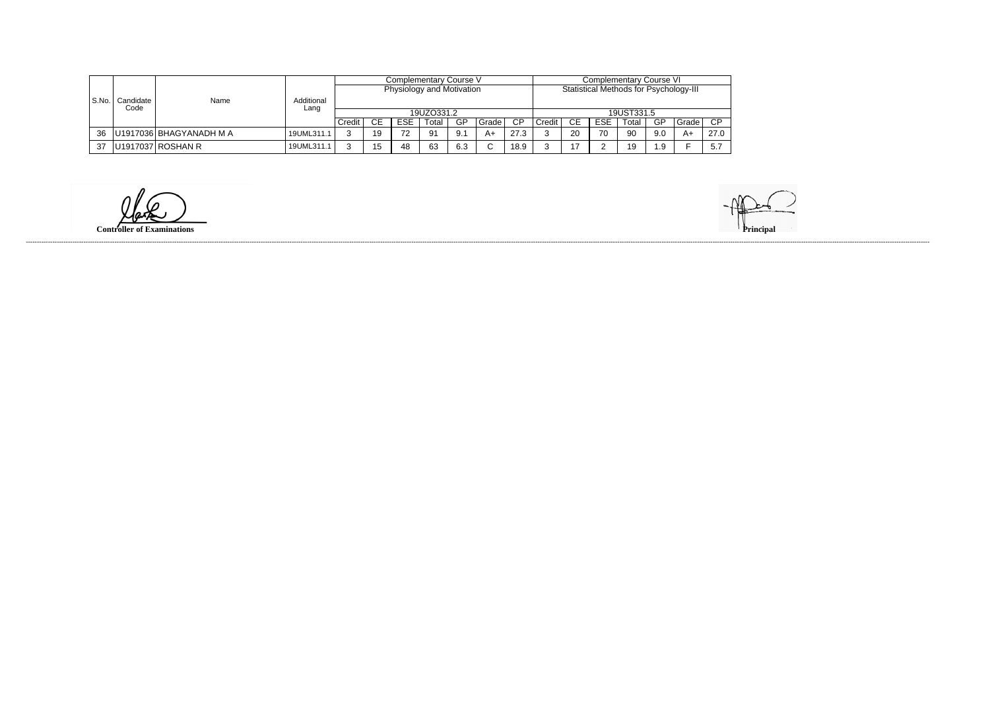|       |           | Name<br>Code            |                    |                                                                     |            |            | Complementary Course V |     |        |           | <b>Complementary Course VI</b> |                |            |       |            |       |      |  |
|-------|-----------|-------------------------|--------------------|---------------------------------------------------------------------|------------|------------|------------------------|-----|--------|-----------|--------------------------------|----------------|------------|-------|------------|-------|------|--|
|       |           |                         | Additional<br>Lang | Statistical Methods for Psychology-III<br>Physiology and Motivation |            |            |                        |     |        |           |                                |                |            |       |            |       |      |  |
| S.No. | Candidate |                         |                    |                                                                     |            |            |                        |     |        |           |                                |                |            |       |            |       |      |  |
|       |           |                         |                    |                                                                     | 19UZO331.2 |            |                        |     |        |           |                                |                |            |       | 19UST331.5 |       |      |  |
|       |           |                         |                    | Credit                                                              | CE.        | <b>ESE</b> | Total                  | GP  | Grade  | <b>CP</b> | Credit                         | СE             | <b>ESE</b> | Total | GP         | Grade | CP   |  |
| 36    |           | U1917036 BHAGYANADH M A | 19UML311.1         |                                                                     | 19         | 70         | 91                     | 9.1 | A+     | 27.3      |                                | 20             | 70         | 90    | 9.0        | A+    | 27.0 |  |
| 37    |           | U1917037 ROSHAN R       | 19UML311.1         | ົ                                                                   | 1 5        | 48         | 63                     | 6.3 | $\sim$ | 18.9      |                                | $\overline{ }$ |            | 19    | 1 Q        |       | 5.7  |  |

**Controller of Examinations**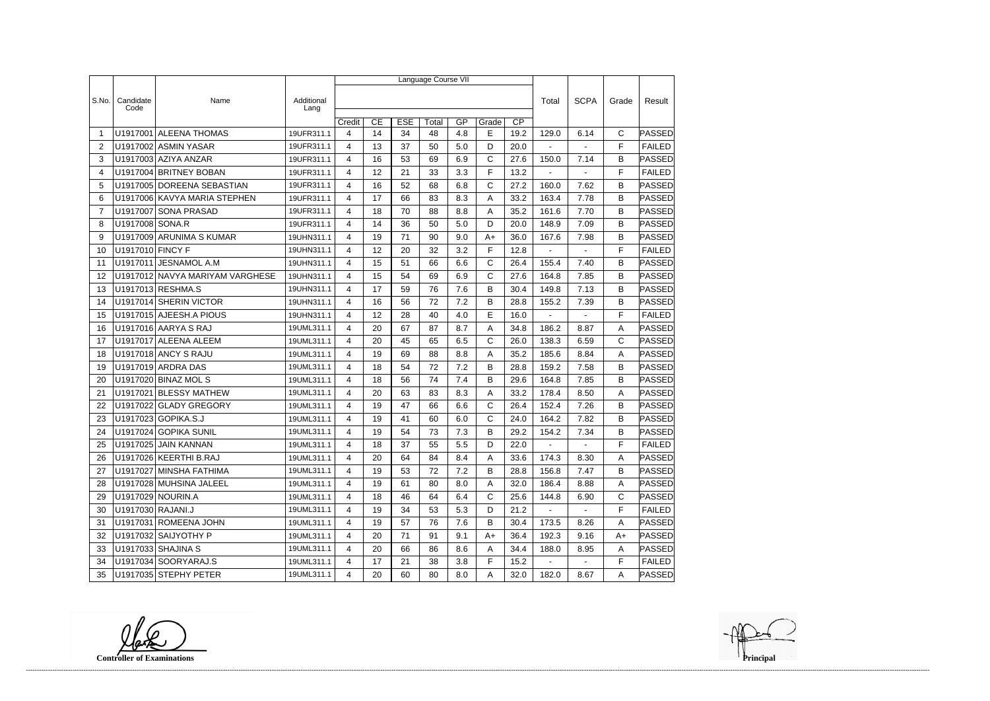|                 |                   |                                 |                    |                |    |            | Language Course VII |     |       |                 |                |                |              |               |
|-----------------|-------------------|---------------------------------|--------------------|----------------|----|------------|---------------------|-----|-------|-----------------|----------------|----------------|--------------|---------------|
|                 |                   |                                 |                    |                |    |            |                     |     |       |                 |                |                |              |               |
| S.No.           | Candidate<br>Code | Name                            | Additional<br>Lang |                |    |            |                     |     |       |                 | Total          | <b>SCPA</b>    | Grade        | Result        |
|                 |                   |                                 |                    | Credit         | CE | <b>ESE</b> | Total               | GP  | Grade | $\overline{CP}$ |                |                |              |               |
| $\overline{1}$  |                   | U1917001 ALEENA THOMAS          | 19UFR311.1         | 4              | 14 | 34         | 48                  | 4.8 | E     | 19.2            | 129.0          | 6.14           | C            | <b>PASSED</b> |
| $\overline{2}$  |                   | U1917002 ASMIN YASAR            | 19UFR311.1         | 4              | 13 | 37         | 50                  | 5.0 | D     | 20.0            | $\blacksquare$ | $\sim$         | F            | <b>FAILED</b> |
| 3               |                   | U1917003 AZIYA ANZAR            | 19UFR311.1         | 4              | 16 | 53         | 69                  | 6.9 | C     | 27.6            | 150.0          | 7.14           | B            | <b>PASSED</b> |
| 4               |                   | U1917004 BRITNEY BOBAN          | 19UFR311.1         | 4              | 12 | 21         | 33                  | 3.3 | F     | 13.2            |                |                | F            | <b>FAILED</b> |
| 5               |                   | U1917005 DOREENA SEBASTIAN      | 19UFR311.1         | 4              | 16 | 52         | 68                  | 6.8 | C     | 27.2            | 160.0          | 7.62           | B            | <b>PASSED</b> |
| 6               |                   | U1917006 KAVYA MARIA STEPHEN    | 19UFR311.1         | 4              | 17 | 66         | 83                  | 8.3 | Α     | 33.2            | 163.4          | 7.78           | B            | PASSED        |
| 7               |                   | U1917007 SONA PRASAD            | 19UFR311.1         | 4              | 18 | 70         | 88                  | 8.8 | Α     | 35.2            | 161.6          | 7.70           | B            | <b>PASSED</b> |
| 8               | U1917008 SONA.R   |                                 | 19UFR311.1         | 4              | 14 | 36         | 50                  | 5.0 | D     | 20.0            | 148.9          | 7.09           | B            | <b>PASSED</b> |
| 9               |                   | U1917009 ARUNIMA S KUMAR        | 19UHN311.1         | 4              | 19 | 71         | 90                  | 9.0 | $A+$  | 36.0            | 167.6          | 7.98           | B            | PASSED        |
| 10              | U1917010 FINCY F  |                                 | 19UHN311.1         | 4              | 12 | 20         | 32                  | 3.2 | F     | 12.8            | $\blacksquare$ | $\sim$         | F            | <b>FAILED</b> |
| 11              | U1917011          | JESNAMOL A.M                    | 19UHN311.1         | 4              | 15 | 51         | 66                  | 6.6 | C     | 26.4            | 155.4          | 7.40           | B            | <b>PASSED</b> |
| 12              |                   | U1917012 NAVYA MARIYAM VARGHESE | 19UHN311.1         | 4              | 15 | 54         | 69                  | 6.9 | C     | 27.6            | 164.8          | 7.85           | B            | <b>PASSED</b> |
| 13              |                   | U1917013 RESHMA.S               | 19UHN311.1         | 4              | 17 | 59         | 76                  | 7.6 | В     | 30.4            | 149.8          | 7.13           | B            | <b>PASSED</b> |
| 14              |                   | U1917014 SHERIN VICTOR          | 19UHN311.1         | 4              | 16 | 56         | 72                  | 7.2 | B     | 28.8            | 155.2          | 7.39           | B            | PASSED        |
| 15              |                   | U1917015 AJEESH.A PIOUS         | 19UHN311.1         | 4              | 12 | 28         | 40                  | 4.0 | E     | 16.0            | $\blacksquare$ | $\blacksquare$ | F            | <b>FAILED</b> |
| 16              |                   | U1917016 AARYA S RAJ            | 19UML311.1         | 4              | 20 | 67         | 87                  | 8.7 | Α     | 34.8            | 186.2          | 8.87           | A            | PASSED        |
| 17              |                   | U1917017 ALEENA ALEEM           | 19UML311.1         | 4              | 20 | 45         | 65                  | 6.5 | C     | 26.0            | 138.3          | 6.59           | $\mathsf{C}$ | <b>PASSED</b> |
| 18              |                   | <b>U1917018 ANCY S RAJU</b>     | 19UML311.1         | 4              | 19 | 69         | 88                  | 8.8 | Α     | 35.2            | 185.6          | 8.84           | Α            | <b>PASSED</b> |
| 19              |                   | U1917019 ARDRA DAS              | 19UML311.1         | 4              | 18 | 54         | 72                  | 7.2 | B     | 28.8            | 159.2          | 7.58           | B            | PASSED        |
| 20              |                   | U1917020 BINAZ MOL S            | 19UML311.1         | 4              | 18 | 56         | 74                  | 7.4 | В     | 29.6            | 164.8          | 7.85           | B            | PASSED        |
| 21              |                   | U1917021 BLESSY MATHEW          | 19UML311.1         | 4              | 20 | 63         | 83                  | 8.3 | A     | 33.2            | 178.4          | 8.50           | A            | PASSED        |
| 22              |                   | U1917022 GLADY GREGORY          | 19UML311.1         | 4              | 19 | 47         | 66                  | 6.6 | C     | 26.4            | 152.4          | 7.26           | B            | <b>PASSED</b> |
| 23              |                   | U1917023 GOPIKA.S.J             | 19UML311.1         | 4              | 19 | 41         | 60                  | 6.0 | C     | 24.0            | 164.2          | 7.82           | B            | <b>PASSED</b> |
| 24              |                   | U1917024 GOPIKA SUNIL           | 19UML311.1         | 4              | 19 | 54         | 73                  | 7.3 | B     | 29.2            | 154.2          | 7.34           | B            | PASSED        |
| 25              |                   | U1917025 JAIN KANNAN            | 19UML311.1         | 4              | 18 | 37         | 55                  | 5.5 | D     | 22.0            |                |                | $\mathsf F$  | FAILED        |
| 26              |                   | U1917026 KEERTHI B.RAJ          | 19UML311.1         | 4              | 20 | 64         | 84                  | 8.4 | A     | 33.6            | 174.3          | 8.30           | A            | <b>PASSED</b> |
| 27              |                   | U1917027 MINSHA FATHIMA         | 19UML311.1         | 4              | 19 | 53         | 72                  | 7.2 | B     | 28.8            | 156.8          | 7.47           | B            | <b>PASSED</b> |
| 28              |                   | U1917028 MUHSINA JALEEL         | 19UML311.1         | 4              | 19 | 61         | 80                  | 8.0 | A     | 32.0            | 186.4          | 8.88           | A            | PASSED        |
| 29              |                   | U1917029 NOURIN.A               | 19UML311.1         | 4              | 18 | 46         | 64                  | 6.4 | C     | 25.6            | 144.8          | 6.90           | $\mathsf{C}$ | <b>PASSED</b> |
| 30              | U1917030 RAJANI.J |                                 | 19UML311.1         | 4              | 19 | 34         | 53                  | 5.3 | D     | 21.2            | $\sim$ $-$     | $\sim$         | F            | <b>FAILED</b> |
| 31              |                   | U1917031 ROMEENA JOHN           | 19UML311.1         | 4              | 19 | 57         | 76                  | 7.6 | B     | 30.4            | 173.5          | 8.26           | Α            | PASSED        |
| 32 <sub>2</sub> |                   | U1917032 SAIJYOTHY P            | 19UML311.1         | 4              | 20 | 71         | 91                  | 9.1 | $A+$  | 36.4            | 192.3          | 9.16           | A+           | PASSED        |
| 33              |                   | U1917033 SHAJINA S              | 19UML311.1         | 4              | 20 | 66         | 86                  | 8.6 | A     | 34.4            | 188.0          | 8.95           | A            | PASSED        |
| 34              |                   | U1917034 SOORYARAJ.S            | 19UML311.1         | 4              | 17 | 21         | 38                  | 3.8 | F     | 15.2            |                |                | F            | <b>FAILED</b> |
| 35              |                   | U1917035 STEPHY PETER           | 19UML311.1         | $\overline{4}$ | 20 | 60         | 80                  | 8.0 | A     | 32.0            | 182.0          | 8.67           | A            | <b>PASSED</b> |

**Controller of Examinations**